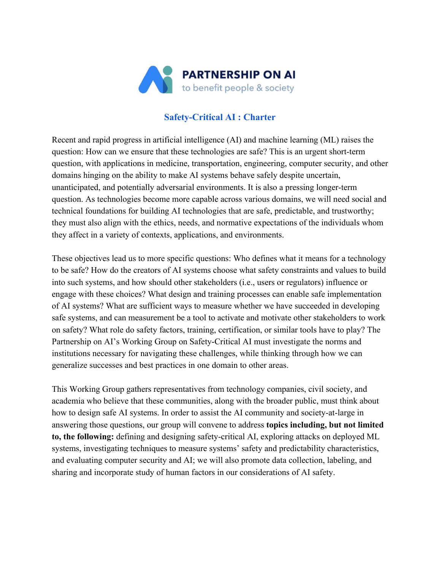

## **Safety-Critical AI : Charter**

Recent and rapid progress in artificial intelligence (AI) and machine learning (ML) raises the question: How can we ensure that these technologies are safe? This is an urgent short-term question, with applications in medicine, transportation, engineering, computer security, and other domains hinging on the ability to make AI systems behave safely despite uncertain, unanticipated, and potentially adversarial environments. It is also a pressing longer-term question. As technologies become more capable across various domains, we will need social and technical foundations for building AI technologies that are safe, predictable, and trustworthy; they must also align with the ethics, needs, and normative expectations of the individuals whom they affect in a variety of contexts, applications, and environments.

These objectives lead us to more specific questions: Who defines what it means for a technology to be safe? How do the creators of AI systems choose what safety constraints and values to build into such systems, and how should other stakeholders (i.e., users or regulators) influence or engage with these choices? What design and training processes can enable safe implementation of AI systems? What are sufficient ways to measure whether we have succeeded in developing safe systems, and can measurement be a tool to activate and motivate other stakeholders to work on safety? What role do safety factors, training, certification, or similar tools have to play? The Partnership on AI's Working Group on Safety-Critical AI must investigate the norms and institutions necessary for navigating these challenges, while thinking through how we can generalize successes and best practices in one domain to other areas.

This Working Group gathers representatives from technology companies, civil society, and academia who believe that these communities, along with the broader public, must think about how to design safe AI systems. In order to assist the AI community and society-at-large in answering those questions, our group will convene to address **topics including, but not limited to, the following:** defining and designing safety-critical AI, exploring attacks on deployed ML systems, investigating techniques to measure systems' safety and predictability characteristics, and evaluating computer security and AI; we will also promote data collection, labeling, and sharing and incorporate study of human factors in our considerations of AI safety.